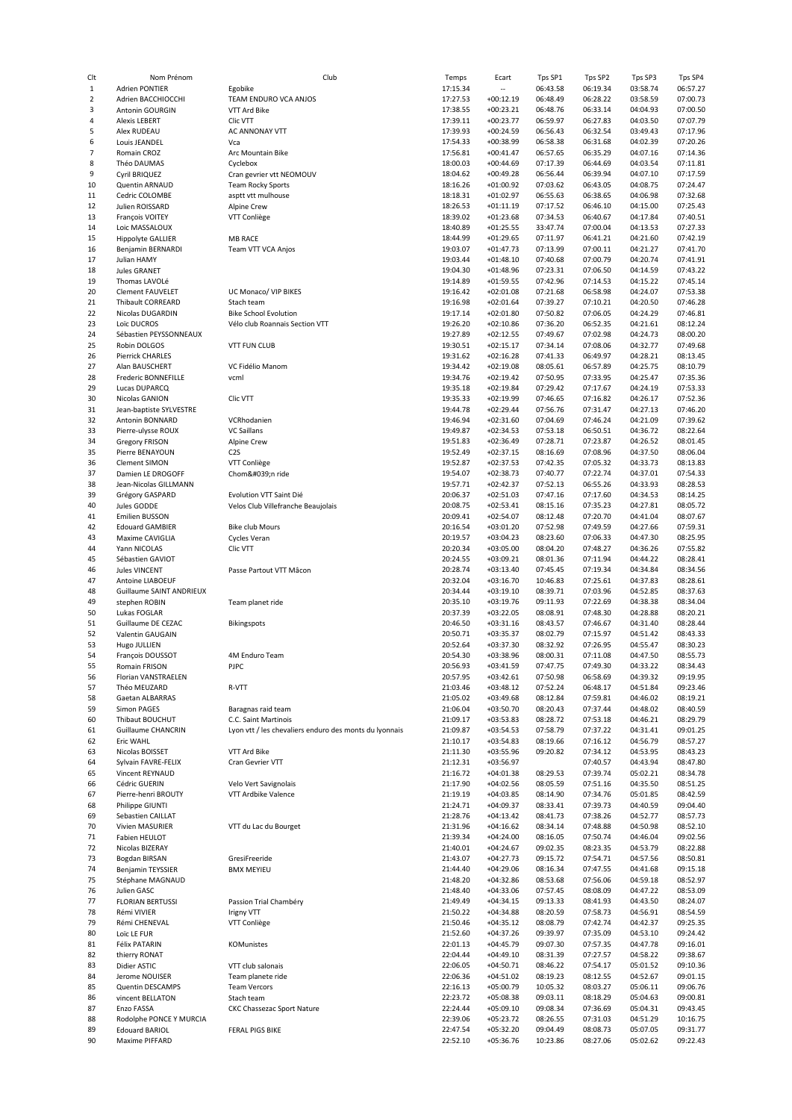| Clt            | Nom Prénom                | Club                                                   | Temps    | Ecart       | Tps SP1  | Tps SP2  | Tps SP3  | Tps SP4  |
|----------------|---------------------------|--------------------------------------------------------|----------|-------------|----------|----------|----------|----------|
| $\mathbf 1$    | Adrien PONTIER            | Egobike                                                | 17:15.34 | --          | 06:43.58 | 06:19.34 | 03:58.74 | 06:57.27 |
|                | Adrien BACCHIOCCHI        | TEAM ENDURO VCA ANJOS                                  | 17:27.53 | $+00:12.19$ | 06:48.49 | 06:28.22 | 03:58.59 | 07:00.73 |
| $\overline{2}$ |                           |                                                        |          |             |          |          |          |          |
| 3              | Antonin GOURGIN           | VTT Ard Bike                                           | 17:38.55 | $+00:23.21$ | 06:48.76 | 06:33.14 | 04:04.93 | 07:00.50 |
| 4              | <b>Alexis LEBERT</b>      | Clic VTT                                               | 17:39.11 | $+00:23.77$ | 06:59.97 | 06:27.83 | 04:03.50 | 07:07.79 |
| 5              | Alex RUDEAU               | AC ANNONAY VTT                                         | 17:39.93 | $+00:24.59$ | 06:56.43 | 06:32.54 | 03:49.43 | 07:17.96 |
| 6              | Louis JEANDEL             | Vca                                                    | 17:54.33 | $+00:38.99$ | 06:58.38 | 06:31.68 | 04:02.39 | 07:20.26 |
| 7              | Romain CROZ               | Arc Mountain Bike                                      | 17:56.81 | $+00:41.47$ | 06:57.65 | 06:35.29 | 04:07.16 | 07:14.36 |
| 8              | Théo DAUMAS               | Cyclebox                                               | 18:00.03 | $+00:44.69$ | 07:17.39 | 06:44.69 | 04:03.54 | 07:11.81 |
|                |                           |                                                        |          |             |          |          |          |          |
| 9              | Cyril BRIQUEZ             | Cran gevrier vtt NEOMOUV                               | 18:04.62 | $+00:49.28$ | 06:56.44 | 06:39.94 | 04:07.10 | 07:17.59 |
| 10             | Quentin ARNAUD            | <b>Team Rocky Sports</b>                               | 18:16.26 | $+01:00.92$ | 07:03.62 | 06:43.05 | 04:08.75 | 07:24.47 |
| 11             | Cedric COLOMBE            | asptt vtt mulhouse                                     | 18:18.31 | $+01:02.97$ | 06:55.63 | 06:38.65 | 04:06.98 | 07:32.68 |
| 12             | Julien ROISSARD           | Alpine Crew                                            | 18:26.53 | $+01:11.19$ | 07:17.52 | 06:46.10 | 04:15.00 | 07:25.43 |
| 13             | François VOITEY           | VTT Conliège                                           | 18:39.02 | $+01:23.68$ | 07:34.53 | 06:40.67 | 04:17.84 | 07:40.51 |
| 14             | Loic MASSALOUX            |                                                        | 18:40.89 | $+01:25.55$ | 33:47.74 | 07:00.04 | 04:13.53 | 07:27.33 |
| 15             |                           | <b>MB RACE</b>                                         | 18:44.99 | $+01:29.65$ | 07:11.97 | 06:41.21 | 04:21.60 | 07:42.19 |
|                | Hippolyte GALLIER         |                                                        |          |             |          |          |          |          |
| 16             | Benjamin BERNARDI         | Team VTT VCA Anjos                                     | 19:03.07 | $+01:47.73$ | 07:13.99 | 07:00.11 | 04:21.27 | 07:41.70 |
| 17             | Julian HAMY               |                                                        | 19:03.44 | $+01:48.10$ | 07:40.68 | 07:00.79 | 04:20.74 | 07:41.91 |
| 18             | <b>Jules GRANET</b>       |                                                        | 19:04.30 | $+01:48.96$ | 07:23.31 | 07:06.50 | 04:14.59 | 07:43.22 |
| 19             | Thomas LAVOLé             |                                                        | 19:14.89 | $+01:59.55$ | 07:42.96 | 07:14.53 | 04:15.22 | 07:45.14 |
| 20             | <b>Clement FAUVELET</b>   | UC Monaco/ VIP BIKES                                   | 19:16.42 | $+02:01.08$ | 07:21.68 | 06:58.98 | 04:24.07 | 07:53.38 |
| 21             | <b>Thibault CORREARD</b>  | Stach team                                             | 19:16.98 | $+02:01.64$ | 07:39.27 | 07:10.21 | 04:20.50 | 07:46.28 |
|                |                           |                                                        |          |             |          |          |          |          |
| 22             | Nicolas DUGARDIN          | <b>Bike School Evolution</b>                           | 19:17.14 | $+02:01.80$ | 07:50.82 | 07:06.05 | 04:24.29 | 07:46.81 |
| 23             | Loïc DUCROS               | Vélo club Roannais Section VTT                         | 19:26.20 | $+02:10.86$ | 07:36.20 | 06:52.35 | 04:21.61 | 08:12.24 |
| 24             | Sébastien PEYSSONNEAUX    |                                                        | 19:27.89 | $+02:12.55$ | 07:49.67 | 07:02.98 | 04:24.73 | 08:00.20 |
| 25             | Robin DOLGOS              | <b>VTT FUN CLUB</b>                                    | 19:30.51 | $+02:15.17$ | 07:34.14 | 07:08.06 | 04:32.77 | 07:49.68 |
| 26             | <b>Pierrick CHARLES</b>   |                                                        | 19:31.62 | $+02:16.28$ | 07:41.33 | 06:49.97 | 04:28.21 | 08:13.45 |
| 27             | Alan BAUSCHERT            | VC Fidélio Manom                                       | 19:34.42 | $+02:19.08$ | 08:05.61 | 06:57.89 | 04:25.75 | 08:10.79 |
| 28             | Frederic BONNEFILLE       | vcml                                                   | 19:34.76 | $+02:19.42$ | 07:50.95 | 07:33.95 | 04:25.47 | 07:35.36 |
|                |                           |                                                        |          |             |          |          |          |          |
| 29             | Lucas DUPARCQ             |                                                        | 19:35.18 | $+02:19.84$ | 07:29.42 | 07:17.67 | 04:24.19 | 07:53.33 |
| 30             | Nicolas GANION            | Clic VTT                                               | 19:35.33 | $+02:19.99$ | 07:46.65 | 07:16.82 | 04:26.17 | 07:52.36 |
| 31             | Jean-baptiste SYLVESTRE   |                                                        | 19:44.78 | $+02:29.44$ | 07:56.76 | 07:31.47 | 04:27.13 | 07:46.20 |
| 32             | Antonin BONNARD           | VCRhodanien                                            | 19:46.94 | $+02:31.60$ | 07:04.69 | 07:46.24 | 04:21.09 | 07:39.62 |
| 33             | Pierre-ulysse ROUX        | <b>VC Saillans</b>                                     | 19:49.87 | $+02:34.53$ | 07:53.18 | 06:50.51 | 04:36.72 | 08:22.64 |
| 34             | <b>Gregory FRISON</b>     | Alpine Crew                                            | 19:51.83 | $+02:36.49$ | 07:28.71 | 07:23.87 | 04:26.52 | 08:01.45 |
|                |                           |                                                        |          |             |          |          |          |          |
| 35             | Pierre BENAYOUN           | C <sub>2</sub> S                                       | 19:52.49 | $+02:37.15$ | 08:16.69 | 07:08.96 | 04:37.50 | 08:06.04 |
| 36             | <b>Clement SIMON</b>      | VTT Conliège                                           | 19:52.87 | $+02:37.53$ | 07:42.35 | 07:05.32 | 04:33.73 | 08:13.83 |
| 37             | Damien LE DROGOFF         | Chom'n ride                                            | 19:54.07 | $+02:38.73$ | 07:40.77 | 07:22.74 | 04:37.01 | 07:54.33 |
| 38             | Jean-Nicolas GILLMANN     |                                                        | 19:57.71 | $+02:42.37$ | 07:52.13 | 06:55.26 | 04:33.93 | 08:28.53 |
| 39             | Grégory GASPARD           | Evolution VTT Saint Dié                                | 20:06.37 | $+02:51.03$ | 07:47.16 | 07:17.60 | 04:34.53 | 08:14.25 |
| 40             | Jules GODDE               | Velos Club Villefranche Beaujolais                     | 20:08.75 | $+02:53.41$ | 08:15.16 | 07:35.23 | 04:27.81 | 08:05.72 |
|                |                           |                                                        | 20:09.41 |             |          |          |          | 08:07.67 |
| 41             | Emilien BUSSON            |                                                        |          | $+02:54.07$ | 08:12.48 | 07:20.70 | 04:41.04 |          |
| 42             | <b>Edouard GAMBIER</b>    | <b>Bike club Mours</b>                                 | 20:16.54 | $+03:01.20$ | 07:52.98 | 07:49.59 | 04:27.66 | 07:59.31 |
| 43             | Maxime CAVIGLIA           | Cycles Veran                                           | 20:19.57 | $+03:04.23$ | 08:23.60 | 07:06.33 | 04:47.30 | 08:25.95 |
| 44             | Yann NICOLAS              | Clic VTT                                               | 20:20.34 | $+03:05.00$ | 08:04.20 | 07:48.27 | 04:36.26 | 07:55.82 |
| 45             | Sébastien GAVIOT          |                                                        | 20:24.55 | $+03:09.21$ | 08:01.36 | 07:11.94 | 04:44.22 | 08:28.41 |
| 46             | Jules VINCENT             | Passe Partout VTT Mâcon                                | 20:28.74 | $+03:13.40$ | 07:45.45 | 07:19.34 | 04:34.84 | 08:34.56 |
| 47             | Antoine LIABOEUF          |                                                        | 20:32.04 | $+03:16.70$ | 10:46.83 | 07:25.61 | 04:37.83 | 08:28.61 |
|                |                           |                                                        |          |             |          |          |          |          |
| 48             | Guillaume SAINT ANDRIEUX  |                                                        | 20:34.44 | $+03:19.10$ | 08:39.71 | 07:03.96 | 04:52.85 | 08:37.63 |
| 49             | stephen ROBIN             | Team planet ride                                       | 20:35.10 | $+03:19.76$ | 09:11.93 | 07:22.69 | 04:38.38 | 08:34.04 |
| 50             | Lukas FOGLAR              |                                                        | 20:37.39 | $+03:22.05$ | 08:08.91 | 07:48.30 | 04:28.88 | 08:20.21 |
| 51             | Guillaume DE CEZAC        | Bikingspots                                            | 20:46.50 | $+03:31.16$ | 08:43.57 | 07:46.67 | 04:31.40 | 08:28.44 |
| 52             | Valentin GAUGAIN          |                                                        | 20:50.71 | $+03:35.37$ | 08:02.79 | 07:15.97 | 04:51.42 | 08:43.33 |
| 53             | Hugo JULLIEN              |                                                        | 20:52.64 | $+03:37.30$ | 08:32.92 | 07:26.95 | 04:55.47 | 08:30.23 |
| 54             | François DOUSSOT          | 4M Enduro Team                                         |          | $+03:38.96$ | 08:00.31 | 07:11.08 |          | 08:55.73 |
|                |                           |                                                        | 20:54.30 |             |          |          | 04:47.50 |          |
| 55             | Romain FRISON             | PJPC                                                   | 20:56.93 | $+03:41.59$ | 07:47.75 | 07:49.30 | 04:33.22 | 08:34.43 |
| 56             | Florian VANSTRAELEN       |                                                        | 20:57.95 | $+03:42.61$ | 07:50.98 | 06:58.69 | 04:39.32 | 09:19.95 |
| 57             | Théo MEUZARD              | R-VTT                                                  | 21:03.46 | $+03:48.12$ | 07:52.24 | 06:48.17 | 04:51.84 | 09:23.46 |
| 58             | Gaetan ALBARRAS           |                                                        | 21:05.02 | $+03:49.68$ | 08:12.84 | 07:59.81 | 04:46.02 | 08:19.21 |
| 59             | Simon PAGES               | Baragnas raid team                                     | 21:06.04 | $+03:50.70$ | 08:20.43 | 07:37.44 | 04:48.02 | 08:40.59 |
| 60             | Thibaut BOUCHUT           | C.C. Saint Martinois                                   | 21:09.17 | $+03:53.83$ | 08:28.72 | 07:53.18 | 04:46.21 | 08:29.79 |
|                |                           |                                                        |          |             |          |          |          |          |
| 61             | <b>Guillaume CHANCRIN</b> | Lyon vtt / les chevaliers enduro des monts du lyonnais | 21:09.87 | $+03:54.53$ | 07:58.79 | 07:37.22 | 04:31.41 | 09:01.25 |
| 62             | Eric WAHL                 |                                                        | 21:10.17 | +03:54.83   | 08:19.66 | 07:16.12 | 04:56.79 | 08:57.27 |
| 63             | Nicolas BOISSET           | VTT Ard Bike                                           | 21:11.30 | $+03:55.96$ | 09:20.82 | 07:34.12 | 04:53.95 | 08:43.23 |
| 64             | Sylvain FAVRE-FELIX       | Cran Gevrier VTT                                       | 21:12.31 | $+03:56.97$ |          | 07:40.57 | 04:43.94 | 08:47.80 |
| 65             | Vincent REYNAUD           |                                                        | 21:16.72 | $+04:01.38$ | 08:29.53 | 07:39.74 | 05:02.21 | 08:34.78 |
| 66             | Cédric GUERIN             | Velo Vert Savignolais                                  | 21:17.90 | $+04:02.56$ | 08:05.59 | 07:51.16 | 04:35.50 | 08:51.25 |
| 67             | Pierre-henri BROUTY       | VTT Ardbike Valence                                    | 21:19.19 | $+04:03.85$ | 08:14.90 | 07:34.76 | 05:01.85 | 08:42.59 |
| 68             | Philippe GIUNTI           |                                                        | 21:24.71 | $+04:09.37$ | 08:33.41 | 07:39.73 | 04:40.59 | 09:04.40 |
|                |                           |                                                        |          |             |          |          |          |          |
| 69             | Sebastien CAILLAT         |                                                        | 21:28.76 | $+04:13.42$ | 08:41.73 | 07:38.26 | 04:52.77 | 08:57.73 |
| 70             | Vivien MASURIER           | VTT du Lac du Bourget                                  | 21:31.96 | $+04:16.62$ | 08:34.14 | 07:48.88 | 04:50.98 | 08:52.10 |
| 71             | Fabien HEULOT             |                                                        | 21:39.34 | $+04:24.00$ | 08:16.05 | 07:50.74 | 04:46.04 | 09:02.56 |
| 72             | Nicolas BIZERAY           |                                                        | 21:40.01 | $+04:24.67$ | 09:02.35 | 08:23.35 | 04:53.79 | 08:22.88 |
| 73             | Bogdan BIRSAN             | GresiFreeride                                          | 21:43.07 | $+04:27.73$ | 09:15.72 | 07:54.71 | 04:57.56 | 08:50.81 |
| 74             | Benjamin TEYSSIER         | <b>BMX MEYIEU</b>                                      | 21:44.40 | $+04:29.06$ | 08:16.34 | 07:47.55 | 04:41.68 | 09:15.18 |
| 75             | Stéphane MAGNAUD          |                                                        | 21:48.20 | $+04:32.86$ | 08:53.68 | 07:56.06 | 04:59.18 | 08:52.97 |
| 76             | Julien GASC               |                                                        | 21:48.40 | $+04:33.06$ | 07:57.45 | 08:08.09 | 04:47.22 | 08:53.09 |
|                |                           |                                                        |          |             |          |          |          |          |
| 77             | <b>FLORIAN BERTUSSI</b>   | Passion Trial Chambéry                                 | 21:49.49 | $+04:34.15$ | 09:13.33 | 08:41.93 | 04:43.50 | 08:24.07 |
| 78             | Rémi VIVIER               | Irigny VTT                                             | 21:50.22 | $+04:34.88$ | 08:20.59 | 07:58.73 | 04:56.91 | 08:54.59 |
| 79             | Rémi CHENEVAL             | VTT Conliège                                           | 21:50.46 | $+04:35.12$ | 08:08.79 | 07:42.74 | 04:42.37 | 09:25.35 |
| 80             | Loïc LE FUR               |                                                        | 21:52.60 | $+04:37.26$ | 09:39.97 | 07:35.09 | 04:53.10 | 09:24.42 |
| 81             | Félix PATARIN             | KOMunistes                                             | 22:01.13 | $+04:45.79$ | 09:07.30 | 07:57.35 | 04:47.78 | 09:16.01 |
| 82             | thierry RONAT             |                                                        | 22:04.44 | $+04:49.10$ | 08:31.39 | 07:27.57 | 04:58.22 | 09:38.67 |
| 83             | Didier ASTIC              | VTT club salonais                                      | 22:06.05 | $+04:50.71$ | 08:46.22 | 07:54.17 | 05:01.52 | 09:10.36 |
|                |                           |                                                        |          |             |          |          |          |          |
| 84             | Jerome NOUISER            | Team planete ride                                      | 22:06.36 | $+04:51.02$ | 08:19.23 | 08:12.55 | 04:52.67 | 09:01.15 |
| 85             | Quentin DESCAMPS          | <b>Team Vercors</b>                                    | 22:16.13 | $+05:00.79$ | 10:05.32 | 08:03.27 | 05:06.11 | 09:06.76 |
| 86             | vincent BELLATON          | Stach team                                             | 22:23.72 | $+05:08.38$ | 09:03.11 | 08:18.29 | 05:04.63 | 09:00.81 |
| 87             | Enzo FASSA                | CKC Chassezac Sport Nature                             | 22:24.44 | $+05:09.10$ | 09:08.34 | 07:36.69 | 05:04.31 | 09:43.45 |
| 88             | Rodolphe PONCE Y MURCIA   |                                                        | 22:39.06 | $+05:23.72$ | 08:26.55 | 07:31.03 | 04:51.29 | 10:16.75 |
| 89             | <b>Edouard BARIOL</b>     | FERAL PIGS BIKE                                        | 22:47.54 | $+05:32.20$ | 09:04.49 | 08:08.73 | 05:07.05 | 09:31.77 |
| 90             | Maxime PIFFARD            |                                                        | 22:52.10 | $+05:36.76$ | 10:23.86 | 08:27.06 | 05:02.62 | 09:22.43 |